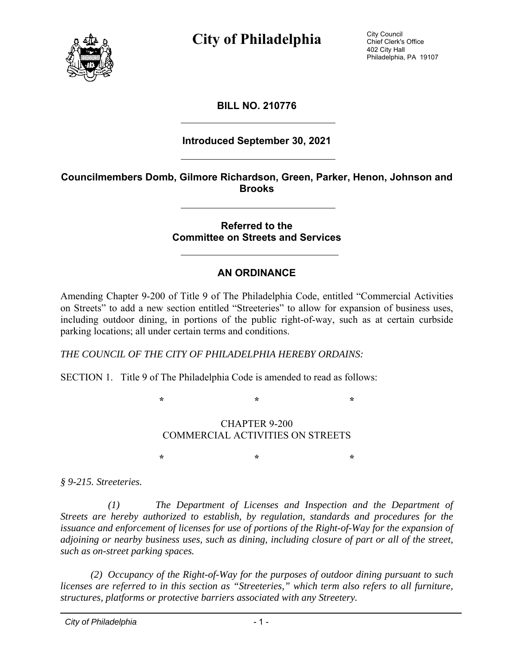

**City of Philadelphia** City Council

Chief Clerk's Office 402 City Hall Philadelphia, PA 19107

### **BILL NO. 210776**

#### **Introduced September 30, 2021**

#### **Councilmembers Domb, Gilmore Richardson, Green, Parker, Henon, Johnson and Brooks**

#### **Referred to the Committee on Streets and Services**

### **AN ORDINANCE**

Amending Chapter 9-200 of Title 9 of The Philadelphia Code, entitled "Commercial Activities on Streets" to add a new section entitled "Streeteries" to allow for expansion of business uses, including outdoor dining, in portions of the public right-of-way, such as at certain curbside parking locations; all under certain terms and conditions.

*THE COUNCIL OF THE CITY OF PHILADELPHIA HEREBY ORDAINS:* 

SECTION 1. Title 9 of The Philadelphia Code is amended to read as follows:

**\* \* \*** 

#### CHAPTER 9-200 COMMERCIAL ACTIVITIES ON STREETS

**\* \* \*** 

*§ 9-215. Streeteries.* 

 *(1) The Department of Licenses and Inspection and the Department of Streets are hereby authorized to establish, by regulation, standards and procedures for the issuance and enforcement of licenses for use of portions of the Right-of-Way for the expansion of adjoining or nearby business uses, such as dining, including closure of part or all of the street, such as on-street parking spaces.* 

*(2) Occupancy of the Right-of-Way for the purposes of outdoor dining pursuant to such licenses are referred to in this section as "Streeteries," which term also refers to all furniture, structures, platforms or protective barriers associated with any Streetery.*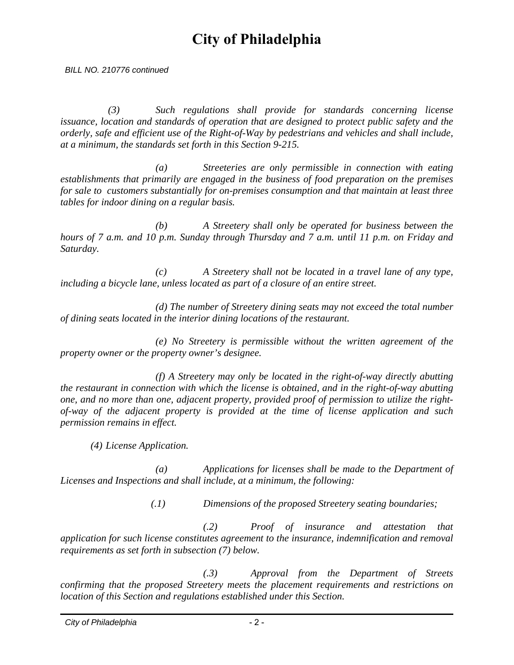*BILL NO. 210776 continued*

 *(3) Such regulations shall provide for standards concerning license issuance, location and standards of operation that are designed to protect public safety and the orderly, safe and efficient use of the Right-of-Way by pedestrians and vehicles and shall include, at a minimum, the standards set forth in this Section 9-215.* 

 *(a) Streeteries are only permissible in connection with eating establishments that primarily are engaged in the business of food preparation on the premises for sale to customers substantially for on-premises consumption and that maintain at least three tables for indoor dining on a regular basis.* 

 *(b) A Streetery shall only be operated for business between the hours of 7 a.m. and 10 p.m. Sunday through Thursday and 7 a.m. until 11 p.m. on Friday and Saturday.* 

 *(c) A Streetery shall not be located in a travel lane of any type, including a bicycle lane, unless located as part of a closure of an entire street.* 

 *(d) The number of Streetery dining seats may not exceed the total number of dining seats located in the interior dining locations of the restaurant.* 

 *(e) No Streetery is permissible without the written agreement of the property owner or the property owner's designee.* 

 *(f) A Streetery may only be located in the right-of-way directly abutting the restaurant in connection with which the license is obtained, and in the right-of-way abutting one, and no more than one, adjacent property, provided proof of permission to utilize the rightof-way of the adjacent property is provided at the time of license application and such permission remains in effect.* 

*(4) License Application.* 

 *(a) Applications for licenses shall be made to the Department of Licenses and Inspections and shall include, at a minimum, the following:* 

*(.1) Dimensions of the proposed Streetery seating boundaries;* 

 *(.2) Proof of insurance and attestation that application for such license constitutes agreement to the insurance, indemnification and removal requirements as set forth in subsection (7) below.* 

 *(.3) Approval from the Department of Streets confirming that the proposed Streetery meets the placement requirements and restrictions on location of this Section and regulations established under this Section.*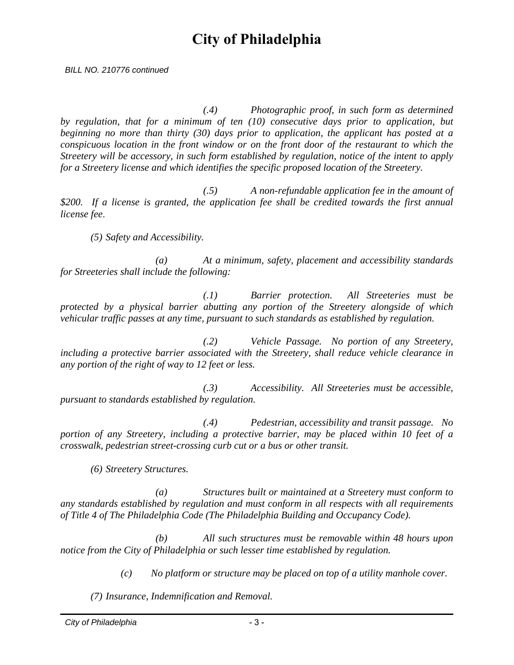*BILL NO. 210776 continued*

 *(.4) Photographic proof, in such form as determined by regulation, that for a minimum of ten (10) consecutive days prior to application, but beginning no more than thirty (30) days prior to application, the applicant has posted at a conspicuous location in the front window or on the front door of the restaurant to which the Streetery will be accessory, in such form established by regulation, notice of the intent to apply for a Streetery license and which identifies the specific proposed location of the Streetery.* 

 *(.5) A non-refundable application fee in the amount of \$200. If a license is granted, the application fee shall be credited towards the first annual license fee*.

*(5) Safety and Accessibility.* 

 *(a) At a minimum, safety, placement and accessibility standards for Streeteries shall include the following:* 

 *(.1) Barrier protection. All Streeteries must be protected by a physical barrier abutting any portion of the Streetery alongside of which vehicular traffic passes at any time, pursuant to such standards as established by regulation.* 

 *(.2) Vehicle Passage. No portion of any Streetery, including a protective barrier associated with the Streetery, shall reduce vehicle clearance in any portion of the right of way to 12 feet or less.* 

 *(.3) Accessibility. All Streeteries must be accessible, pursuant to standards established by regulation.* 

 *(.4) Pedestrian, accessibility and transit passage. No portion of any Streetery, including a protective barrier, may be placed within 10 feet of a crosswalk, pedestrian street-crossing curb cut or a bus or other transit.* 

*(6) Streetery Structures.* 

 *(a) Structures built or maintained at a Streetery must conform to any standards established by regulation and must conform in all respects with all requirements of Title 4 of The Philadelphia Code (The Philadelphia Building and Occupancy Code).* 

 *(b) All such structures must be removable within 48 hours upon notice from the City of Philadelphia or such lesser time established by regulation.* 

*(c) No platform or structure may be placed on top of a utility manhole cover.* 

*(7) Insurance, Indemnification and Removal.*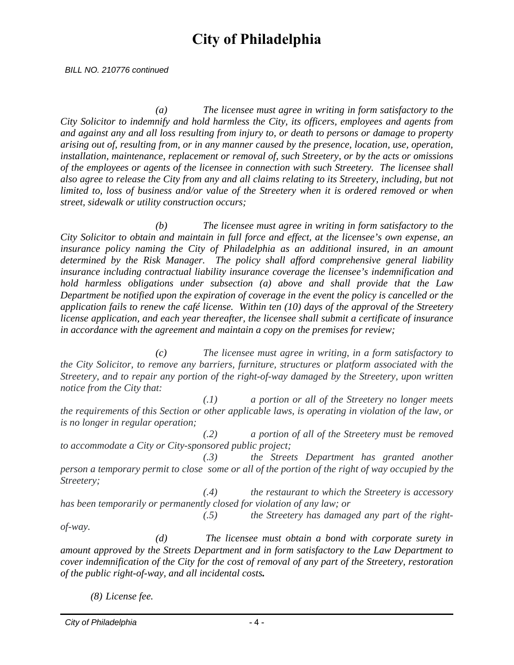*BILL NO. 210776 continued*

 *(a) The licensee must agree in writing in form satisfactory to the City Solicitor to indemnify and hold harmless the City, its officers, employees and agents from and against any and all loss resulting from injury to, or death to persons or damage to property arising out of, resulting from, or in any manner caused by the presence, location, use, operation, installation, maintenance, replacement or removal of, such Streetery, or by the acts or omissions of the employees or agents of the licensee in connection with such Streetery. The licensee shall also agree to release the City from any and all claims relating to its Streetery, including, but not limited to, loss of business and/or value of the Streetery when it is ordered removed or when street, sidewalk or utility construction occurs;* 

 *(b) The licensee must agree in writing in form satisfactory to the City Solicitor to obtain and maintain in full force and effect, at the licensee's own expense, an insurance policy naming the City of Philadelphia as an additional insured, in an amount determined by the Risk Manager. The policy shall afford comprehensive general liability insurance including contractual liability insurance coverage the licensee's indemnification and hold harmless obligations under subsection (a) above and shall provide that the Law Department be notified upon the expiration of coverage in the event the policy is cancelled or the application fails to renew the café license. Within ten (10) days of the approval of the Streetery license application, and each year thereafter, the licensee shall submit a certificate of insurance in accordance with the agreement and maintain a copy on the premises for review;* 

 *(c) The licensee must agree in writing, in a form satisfactory to the City Solicitor, to remove any barriers, furniture, structures or platform associated with the Streetery, and to repair any portion of the right-of-way damaged by the Streetery, upon written notice from the City that:* 

 *(.1) a portion or all of the Streetery no longer meets the requirements of this Section or other applicable laws, is operating in violation of the law, or is no longer in regular operation;* 

 *(.2) a portion of all of the Streetery must be removed to accommodate a City or City-sponsored public project;* 

 *(.3) the Streets Department has granted another person a temporary permit to close some or all of the portion of the right of way occupied by the Streetery;* 

 *(.4) the restaurant to which the Streetery is accessory has been temporarily or permanently closed for violation of any law; or* 

 *(.5) the Streetery has damaged any part of the rightof-way.* 

 *(d) The licensee must obtain a bond with corporate surety in amount approved by the Streets Department and in form satisfactory to the Law Department to cover indemnification of the City for the cost of removal of any part of the Streetery, restoration of the public right-of-way, and all incidental costs.*

*(8) License fee.*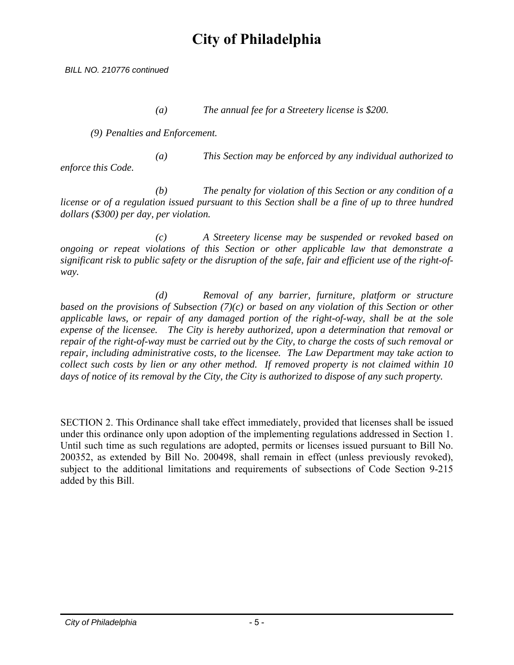*BILL NO. 210776 continued*

 *(a) The annual fee for a Streetery license is \$200.* 

*(9) Penalties and Enforcement.* 

 *(a) This Section may be enforced by any individual authorized to enforce this Code.* 

 *(b) The penalty for violation of this Section or any condition of a license or of a regulation issued pursuant to this Section shall be a fine of up to three hundred dollars (\$300) per day, per violation.* 

 *(c) A Streetery license may be suspended or revoked based on ongoing or repeat violations of this Section or other applicable law that demonstrate a significant risk to public safety or the disruption of the safe, fair and efficient use of the right-ofway.* 

 *(d) Removal of any barrier, furniture, platform or structure based on the provisions of Subsection (7)(c) or based on any violation of this Section or other applicable laws, or repair of any damaged portion of the right-of-way, shall be at the sole expense of the licensee. The City is hereby authorized, upon a determination that removal or repair of the right-of-way must be carried out by the City, to charge the costs of such removal or repair, including administrative costs, to the licensee. The Law Department may take action to collect such costs by lien or any other method. If removed property is not claimed within 10 days of notice of its removal by the City, the City is authorized to dispose of any such property.* 

SECTION 2. This Ordinance shall take effect immediately, provided that licenses shall be issued under this ordinance only upon adoption of the implementing regulations addressed in Section 1. Until such time as such regulations are adopted, permits or licenses issued pursuant to Bill No. 200352, as extended by Bill No. 200498, shall remain in effect (unless previously revoked), subject to the additional limitations and requirements of subsections of Code Section 9-215 added by this Bill.